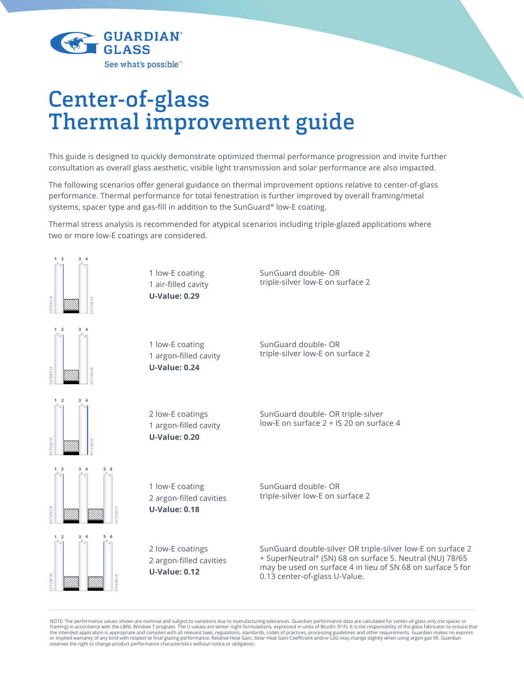

# Center-of-glass Thermal improvement guide

This guide is designed to quickly demonstrate optimized thermal performance progression and invite further consultation as overall glass aesthetic, visible light transmission and solar performance are also impacted.

The following scenarios offer general guidance on thermal improvement options relative to center-of-glass performance. Thermal performance for total fenestration is further improved by overall framing/metal systems, spacer type and gas-fill in addition to the SunGuard® low-E coating.

Thermal stress analysis is recommended for atypical scenarios including triple-glazed applications where two or more low-E coatings are considered.



NOTE: The performance values shown are nominal and subject to variations due to manufacturing tolerances. Guardian performance data are calculated for center-of-glass only (no spacer or framing) in accordance with the LBNL Window 7 program. The U-values are winter night formulations, expressed in units of Btu/(hr·ft²-F). It is the responsibility of the glass fabricator to ensure that<br>the intended applicat or implied warranty of any kind with respect to final glazing performance. Relative Heat Gain, Solar Heat Gain Coefficient and/or LSG may change slightly when using argon gas fill. Guardian<br>reserves the right to change pro